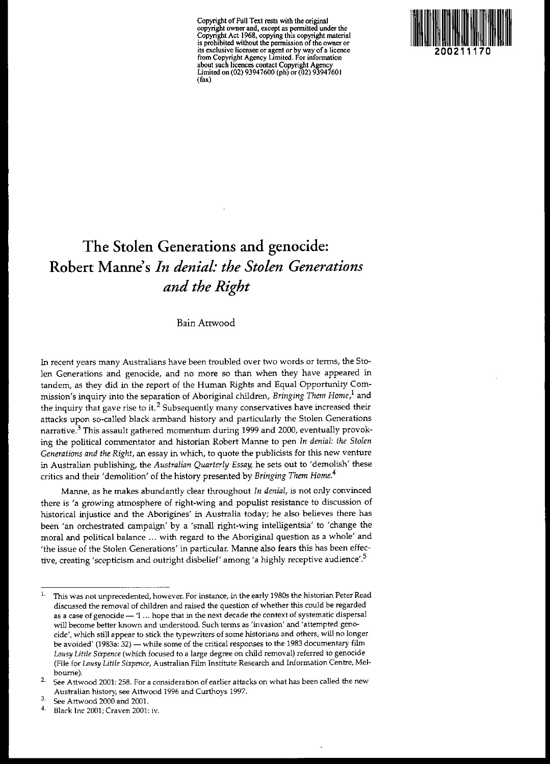**Copyright** of Full **Text rests with the original copyright owner and, except as pennitted under the Copyright Act 1968, copying this copyright material is prohibited without the pennission ofthe owner or its exclusive licensee or agent or by way of a licence from Copyright Agency limited. For information about such licences contact Copyright Agency** Limited on (02) 93947600 (ph) or (02) 93947601 (fax)



# **The Stolen Generations and genocide: Robert Manne's** *In denial: the Stolen Generations and the Right*

Bain Atrwood

**In recent years many Australians have been troubled over two words or terms, the Sto**len Generations and genocide, and no more so than when they have appeared in tandem, as they did in the report of the Human Rights and Equal Opportunity Commission's inquiry into the separation of Aboriginal children, *Bringing Them Home}* and **the inquiry that gave rise to it. <sup>2</sup> Subsequently many conservatives have increased their** attacks upon so-called black armband history and particularly the Stolen Generations narrative. $3$  This assault gathered momentum during 1999 and 2000, eventually provoking the political commentator and historian Robert Manne to pen *In denial: the Stolen Generations and the Right,* an essay in which, to quote the publicists for this new venture in Australian publishing, the *Australian Quarterly Essay,* he sets out to 'demolish' these critics and their 'demolition' of the history presented by *Bringing Them Home.<sup>4</sup>*

Manne, as he makes abundantly clear throughout *In denial,* is not only convinced there is 'a growing atmosphere of right-wing and populist resistance to discussion of **historical injustice and the Aborigines' in Australia today; he also believes there has** been 'an orchestrated campaign' by a 'small right-wing intelligentsia' to 'change the **moral and political balance ... with regard to the Aboriginal question as a whole' and** 'the issue of the Stolen Generations' in particular. Manne also fears this has been effec**tive, creating 'scepticism and outright disbelief' among'a highly receptive audience'.s**

**<sup>1.</sup> This was not unprecedented, however. For instance, in the early 1980s the historian Peter Read discussed the removal of children and raised the question of whether this could be regarded as a case of genocide** - 1 ... **hope that in the next decade the context of systematic dispersal will become better known and understood. Such terms as 'invasion' and 'attempted genocide', which still appear to stick the typewriters of some historians and others, will no longer be avoided' (1983a: 32) - while some of the critical responses to the 1983 documentary film** *Lousy Little Sixpence* **(which focused to a large degree on child removal) referred to genocide (File for** *Lousy Little Sixpence,* **Australian Film Institute Research and Information Centre, Melbourne).**

**<sup>2.</sup> See Attwood 2001: 258. For a consideration of earlier attacks on what has been called the new Australian history, see Attwood 1996 and Curthoys 1997.**

 $3.$  See Attwood 2000 and 2001.

**<sup>4.</sup> Black lnc 2001; Craven 2001: iv.**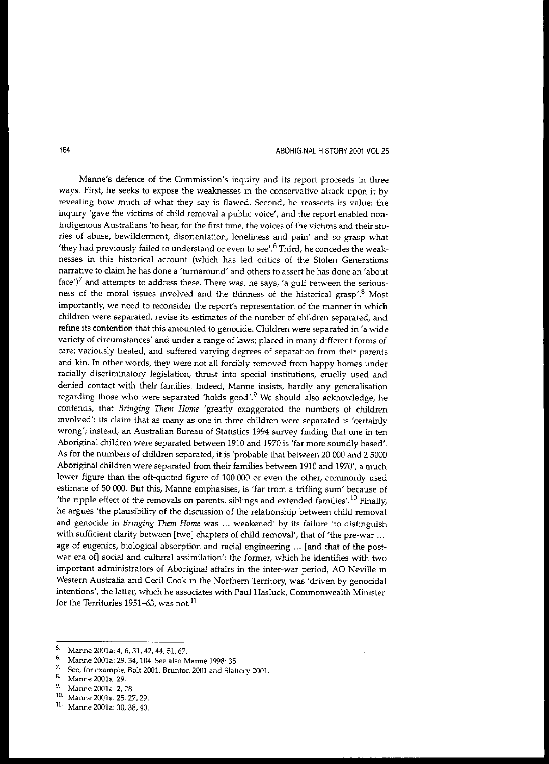## 164 ABORIGINAL HISTORY 2001 VOL 25

Manne's defence of the Commission's inquiry and its report proceeds in three ways. First, he seeks to expose the weaknesses in the conservative attack upon it by **revealing how much of what they say is flawed. Second, he reasserts its value: the** inquiry 'gave the victims of child removal a public voice', and the report enabled non-**Indigenous Australians 'to hear, for the first time, the voices of the victims and their sto**ries of abuse, bewilderment, disorientation, loneliness and pain' and so grasp what 'they had previously failed to understand or even to see'.<sup>6</sup> Third, he concedes the weaknesses in this historical account (which has led critics of the Stolen Generations **narrative to claim he has done a 'turnaround' and others to assert he has done an 'about** face')<sup>7</sup> and attempts to address these. There was, he says, 'a gulf between the seriousness of the moral issues involved and the thinness of the historical grasp'8 Most **importantly, we need to reconsider the report's representation of the manner in which children were separated, revise its estimates of the number of children separated, and refine its contention that this amounted to genocide. Children were separated in 'a wide variety of circumstances' and under a range of laws; placed in many different forms of care; variously treated, and suffered varying degrees of separation from their parents** and kin. In other words, they were not all forcibly removed from happy homes under racially discriminatory legislation, thrust into special institutions, cruelly used and denied contact with their families. Indeed, Manne insists, hardly any generalisation regarding those who were separated 'holds good'.<sup>9</sup> We should also acknowledge, he contends, that *Bringing Them Home* 'greatly exaggerated the numbers of children **involved': its claim that as many as one in three children were separated is 'certainly** wrong'; instead, an Australian Bureau of Statistics 1994 survey finding that one in ten Aboriginal children were separated between 1910 and 1970 is 'far more soundly based'. As for the numbers of children separated, it is 'probable that between 20 000 and 2 5000 Aboriginal children were separated from their families between 1910 and 1970', a much lower figure than the oft-quoted figure of 100 000 or even the other, commonly used estimate of 50 000. But this, Manne emphasises, is 'far from a trifling sum' because of 'the ripple effect of the removals on parents, siblings and extended families'.<sup>10</sup> Finally, he argues 'the plausibility of the discussion of the relationship between child removal **and genocide in** *Bringing Them Home* **was ... weakened' by its failure 'to distinguish** with sufficient clarity between [two] chapters of child removal', that of 'the pre-war ... age of eugenics, biological absorption and racial engineering ... [and that of the postwar era of] social and cultural assimilation': the former, which he identifies with two important administrators of Aboriginal affairs in the inter-war period, AO Neville in Western Australia and Cecil Cook in the Northern Territory, was 'driven by genocidal **intentions', the latter, which he associates with Paul Hasluck, Commonwealth Minister** for the Territories 1951–63, was not.<sup>11</sup>

**<sup>5.</sup> Manne 2001a: 4, 6, 31, 42, 44, 51, 67. 6. Manne 2001a: 29**, **24, 104**, **51**, **51**, **3** 

<sup>&</sup>lt;sup>6.</sup> Manne 2001a: 29, 34, 104. See also Manne 1998: 35.<br><sup>7.</sup> See for example Ralt 2001, Brunter 2001 and Slatt

**<sup>7.</sup> See, for example, Bolt 2001, Brunton 2001 and Slattery 200l.**

**<sup>8.</sup> MaIUle 2001a: 29.**

Manne 2001a: 2, 28. **10. MaIUl€2001a: 25, 27,29.**

<sup>11.</sup> Manne 2001a: 30, 38, 40.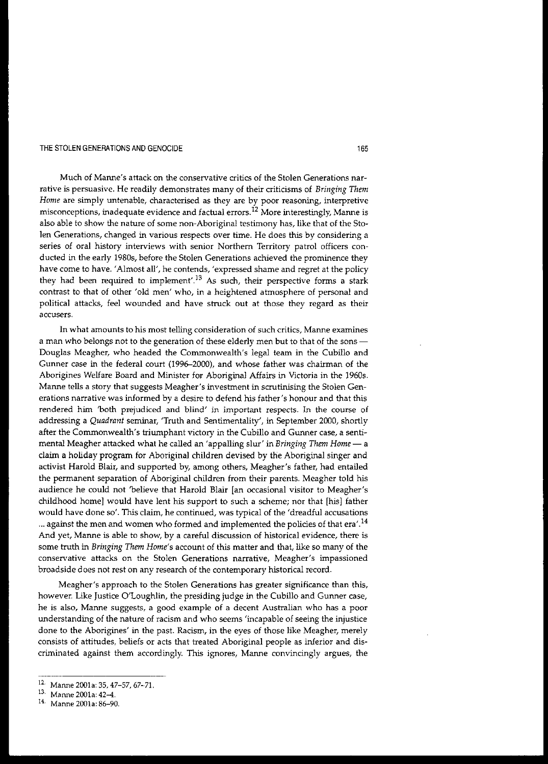**Much of Manne's attack on the conservative critics of the Stolen Generations narrative is persuasive. He readily demonstrates many of their criticisms of** *Bringing Them Home* **are Simply untenable, characterised as they are by poor reasoning, interpretive misconceptions, inadequate evidence and factual errors.t<sup>2</sup> More interestingly, Manne is** also able to show the nature of some non-Aboriginal testimony has, like that of the Sto**len Generations, changed in various respects over time. He does this by considering a series of oral history interviews with senior Northern Territory patrol officers con**ducted in the early 1980s, before the Stolen Generations achieved the prominence they **have come to have. 'Almost all', he contends, 'expressed shame and regret at the policy** they had been required to implement'.<sup>13</sup> As such, their perspective forms a stark contrast to that of other 'old men' who, in a heightened atmosphere of personal and political attacks, feel wounded and have struck out at those they regard as their **accusers.**

**In what amounts to his most telling consideration of such critics, Manne examines** a man who belongs not to the generation of these elderly men but to that of the sons -Douglas Meagher, who headed the Commonwealth's legal team in the Cubillo and Gunner case in the federal court (1996-2000), and whose father was chairman of the Aborigines Welfare Board and Minister for Aboriginal Affairs in Victoria in the 1960s. Manne tells a story that suggests Meagher's investment in scrutinising the Stolen Generations narrative was informed by a desire to defend his father's honour and that this **rendered him 'both prejudiced and blind' in important respects. In the course of** addressing a *Quadrant* seminar, 'Truth and Sentimentality', in September 2000, shortly **after the Commonwealth's triumphant victory in the Cubillo and Gunner case, a senti**mental Meagher attacked what he called an 'appalling slur' in *Bringing Them Home* - a claim a holiday program for Aboriginal children devised by the Aboriginal singer and activist Harold Blair, and supported by, among others, Meagher's father, had entailed the permanent separation of Aboriginal children from their parents. Meagher told his audience he could not 'believe that Harold Blair [an occasional visitor to Meagher's childhood home] would have lent his support to such a scheme; nor that [his] father **would have done so'. This claim, he continued, was typical of the 'dreadful accusations** ... against the men and women who formed and implemented the policies of that era'.<sup>14</sup> **And yet, Manne is able to show, by a careful discussion of historical evidence, there is** some truth in *Bringing Them Home's* account of this matter and that, like so many of the **conservative attacks on the Stolen Generations narrative, Meagher's impassioned broadside does not rest on any research of the contemporary historical record.**

Meagher's approach to the Stolen Generations has greater significance than this, however. Like Justice O'Loughlin, the presiding judge in the Cubillo and Gunner case, **he is also, Manne suggests, a good example of a decent Australian who has a poor** understanding of the nature of racism and who seems 'incapable of seeing the injustice done to the Aborigines' in the past. Racism, in the eyes of those like Meagher, merely **consists of attitudes, beliefs or acts that treated Aboriginal people as inferior and discriminated against them accordingly. This ignores, Manne convincingly argues, the**

<sup>12</sup> Manne 2001a: 35, 47-57, 67-71.

**<sup>13.</sup> Manne 2001a: 42-4.**

**<sup>14.</sup> Manne 200la: 86-90.**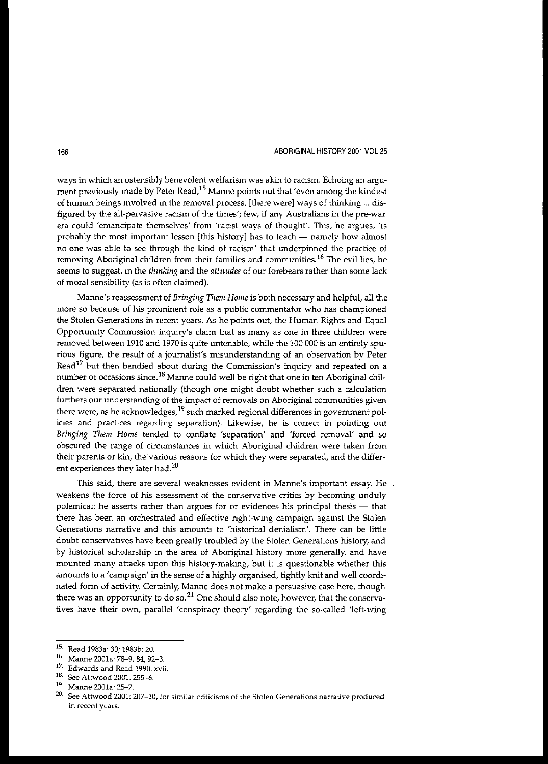### 166 ABORIGINAL HISTORY 2001 VOl25

ways in which an ostensibly benevolent welfarism was akin to racism. Echoing an argument previously made by Peter Read,<sup>15</sup> Manne points out that 'even among the kindest of human beings involved in the removal process, [there were] ways of thinking ... dis**figured by the all-pervasive racism of the times'; few, if any Australians in the pTe-war era could 'emancipate themselves' from 'racist ways of thought'. This, he argues, 'is** probably the most important lesson [this history] has to teach - namely how almost **no-one was able to see through the kind of racism' that underpinned the practice of** removing Aboriginal children from their families and communities.<sup>16</sup> The evil lies, he seems to suggest, in the *thinking* and the *attitudes* of our forebears rather than some lack of moral sensibility (as is often claimed).

Manne's reassessment of *Bringing Them Home* is both necessary and helpful, all the **more so because of his prominent role as a public commentator who has championed** the Stolen Generations in recent years. As he points out, the Human Rights and Equal **Opportunity Commission inquiry's claim that as many as one in three children were** removed between 1910 and 1970 is quite untenable, while the 100 000 is an entirely spu**rious figure, the result of a journalist's misunderstanding of an observation by Peter** Read<sup>17</sup> but then bandied about during the Commission's inquiry and repeated on a number of occasions since.<sup>18</sup> Manne could well be right that one in ten Aboriginal children were separated nationally (though one might doubt whether such a calculation **furthers our understanding of the impact of removals on Aboriginal communities given there were, as he acknowledges,19 such marked regional differences in government policies and practices regarding separation). Likewise, he is correct in pointing out** *Bringing Them Home* tended to conflate 'separation' and 'forced removal' and so **obscured the range of circumstances in which Aboriginal children were taken from** their parents or kin, the various reasons for which they were separated, and the differ**ent experiences they later had. <sup>20</sup>**

**This said, there are several weaknesses evident in Manne's important essay. He weakens the force of his assessment of the conservative critics by becoming unduly** polemical: he asserts rather than argues for or evidences his principal thesis - that there has been an orchestrated and effective right-wing campaign against the Stolen **Generations narrative and this amounts to 'historical denialism'. There can be little** doubt conservatives have been greatly troubled by the Stolen Generations history, and by historical scholarship in the area of Aboriginal history more generally, and have mounted many attacks upon this history-making, but it is questionable whether this amounts to a 'campaign' in the sense of a highly organised, tightly knit and well coordinated form of activity. Certainly, Manne does not make a persuasive case here, though **there was an opportunity to do so.21 One should also note, however, that the conserva**tives have their own, parallel 'conspiracy theory' regarding the so-called 'left-wing

<sup>15.</sup> Read 1983a: 30; 1983b: 20.

<sup>16.</sup> Manne 2001a: 78-9, 84, 92-3.

**<sup>17.</sup> Edwards and Read 1990: xvii.**

**<sup>18.</sup> See Attwood 2001: 255-6.**

<sup>19.</sup> Manne 2001a: 25-7.

**<sup>20.</sup> See Attwood 200L 207-10, for similar criticisms of the Stolen Generations narrative produced in recent years.**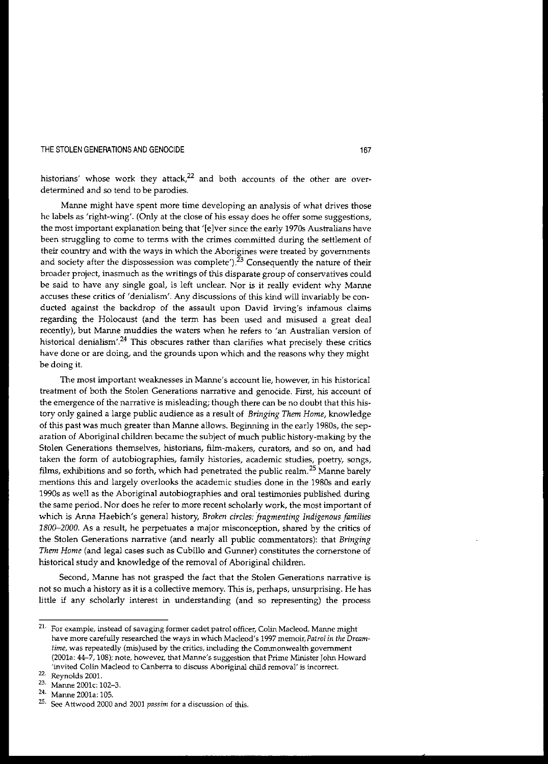historians' whose work they attack, $22$  and both accounts of the other are overdetermined and so tend to be parodies.

Manne might have spent more time developing an analysis of what drives those he labels as 'right-wing'. (Only at the close of his essay does he offer some suggestions, the most important explanation being that '[elver since the early 1970s Australians have been struggling to come to terms with the crimes committed during the settlement of **their country and with the ways in which the Aborigines were treated by governments** and society after the dispossession was complete').<sup>23</sup> Consequently the nature of their **broader project, inasmuch as the writings of this disparate group of conservatives could** be said to have any single goal, is left unclear. Nor is it really evident why Manne **accuses these critics of 'denialism'. Any discussions of this kind will invariably be con**ducted against the backdrop of the assault upon David Irving's infamous claims regarding the Holocaust (and the term has been used and misused a great deal **recently), but Manne muddies the waters when he refers to 'an Australian version of historical denialisrn,.24 This obscures rather than clarifies what precisely these critics** have done or are doing, and the grounds upon which and the reasons why they might be doing it.

**The most important weaknesses in Manne' 5 account lie, however, in his historical treatment of both the Stolen Generations narrative and genocide. First, his account of** the emergence of the narrative is misleading; though there can be no doubt that this history only gained a large public audience as a result of *Bringing Them Home,* knowledge of this past was much greater than Manne allows. Beginning in the early 1980s, the separation of Aboriginal children became the subject of much public history-making by the **Stolen Generations themselves, historians, film-makers, curators, and so on, and had** taken the form of autobiographies, family histories, academic studies, poetry, songs, films, exhibitions and so forth, which had penetrated the public realm.<sup>25</sup> Manne barely mentions this and largely overlooks the academic studies done in the 1980s and early 1990s as well as the Aboriginal autobiographies and oral testimonies published during **the same period. Nor does he refer to more recent scholarly work, the most important of** which is Anna Haebich's general history, *Broken circles: fragmenting Indigenous families 1800-2000.* As a result, he perpetuates a major misconception, shared by the critics of the Stolen Generations narrative (and nearly all public commentators): that *Bringing Them Home* (and legal cases such as Cubillo and Gunner) constitutes the cornerstone of historical study and knowledge of the removal of Aboriginal children.

**Second, Manne has not grasped the fact that the Stolen Generations narrative is not so much a history as it is a collective memory. This is, perhaps, unsurprising. He has** little if any scholarly interest in understanding (and so representing) the process

**<sup>21.</sup> For example, instead of savaging former cadet patrol officer, Colin Macleod, Manne might have more carefully researched the ways in which Macleod's 1997 memoir,Patrol** *in the Dreamtime,* **was repeatedly (mis)used by the critics, including the Conunonwealth government (2001a: 44-7, 108); note, however, that Manne's suggestion that Prime Minister John Howard 'invited Colin Maeleod to Canberra to discuss Aboriginal child removal' is incorrect.**

**<sup>22.</sup> Reynolds 2001.**

**<sup>23.</sup> Manne 2001c: 102-3.**

**<sup>24.</sup> Manne 2oo1a: 105.**

**<sup>25.</sup> See Attwood 2000 and 2001** *passim* **for a discussion of this.**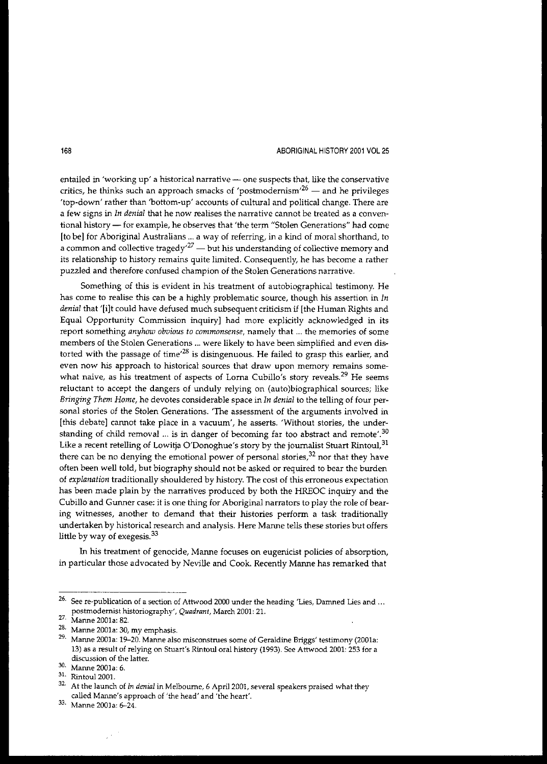#### 168 ABORIGINAL HISTORY 2001 *VOl25*

**entailed in 'working up' a historical narrative - one suspects that, like the conservative critics, he thinks such an approach smacks of 'postrnodemisrn/<sup>26</sup> - and he privileges** 'top-down' rather than 'bottom-up' accounts of cultural and political change. There are **a few signs in** *In denial* **that he now realises the narrative cannot be treated as a conven**tional history - for example, he observes that 'the term "Stolen Generations" had come [to be] for Aboriginal Australians ... a way of referring, in a kind of moral shorthand, to **a common and collective tragedy,27 - but his understanding of collective memory and its relationship to history remains quite limited. Consequently, he has become a rather** puzzled and therefore confused champion of the Stolen Generations narrative.

Something of this is evident in his treatment of autobiographical testimony. He **has come to realise this can be a highly problematic source, though his assertion in In** *denial* that 'lilt could have defused much subsequent criticism if [the Human Rights and Equal Opportunity Commission inquiry] had more explicitly acknowledged in its **report something** *anyhow obvious* **to** *commonsense,* **namely that ... the memories of some members of the Stolen Generations ... were likely to have been simplified and even dis**torted with the passage of time<sup> $28$ </sup> is disingenuous. He failed to grasp this earlier, and **even now his approach to historical sources that draw upon memory remains somewhat naive, as his treatment of aspects of Loma Cubillo's story reveals.<sup>29</sup> He seems** reluctant to accept the dangers of unduly relying on (auto)biographical sources; like *Bringing Them Home,* he devotes considerable space in *In denial* to the telling of four per**sonal stories of the Stolen Generations. 'The assessment of the arguments involved in** [this debate] carmot take place in a vacuum', he asserts. 'Without stories, the under**standing of child removal ... is in danger of becoming far too abstract and remote,.30** Like a recent retelling of Lowitja O'Donoghue's story by the journalist Stuart Rintoul, 31 there can be no denying the emotional power of personal stories, $32$  nor that they have often been well told, but biography should not be asked or required to bear the burden of *explanation* traditionally shouldered by history. The cost of this erroneous expectation has been made plain by the narratives produced by both the HREOC inquiry and the Cubillo and Gunner case: it is one thing for Aboriginal narrators to play the role of bearing witnesses, another to demand that their histories perform a task traditionally undertaken by historical research and analysis. Here Manne tells these stories but offers little by way of exegesis.<sup>33</sup>

**In his treatment of genocide, Manne focuses on eugenicist policies of absorption,** in particular those advocated by Neville and Cook. Recently Marme has remarked that

**<sup>26.</sup> See re-publication of a section of Attwood 2000 under the heading 'Lies, Damned Lies and** ... **postmodemist historiography',** *Quadrant,* **March 2001: 21.**

<sup>27.</sup> Manne 2001a: 82.

**<sup>28.</sup> Manne 2001a: 30, my emphasis.**

**<sup>29.</sup> Manne 2001a: 19-20. Manne also misconstrues some of Geraldine Briggs' testimony (2001a:** 13) as a result of relying on Stuart's Rintoul oral history (1993). See Attwood 2001: 253 for a **discussion of the latter.**

**<sup>30.</sup> Manne 2001a: 6.**

**<sup>31.</sup> Rintoul2001.**

**<sup>32.</sup> At the launch of** *In denial* **in Melbourne, 6** April 2001, **several speakers praised what they called Manne's approach of 'the head' and 'the heart'.**

**<sup>33.</sup> Manne 2001a: 6-24.**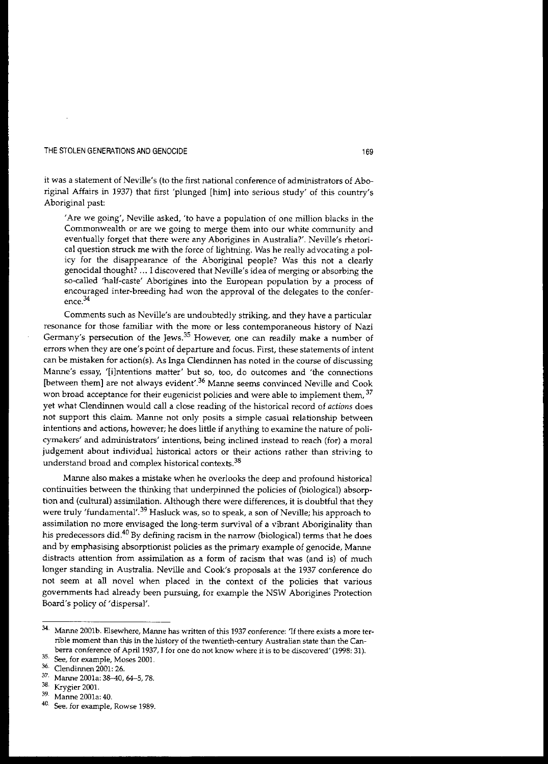it was a statement of NeviJIe's (to the first national conference of administrators of Aboriginal Affairs in 1937) that first 'plunged [him] into serious study' of this country's Aboriginal past:

'Are we going', Neville asked, 'to have a population of one million blacks in the **Commonwealth or are we going to merge them into our white community and evenrually forget that there were any Aborigines in Australia?'. Neville's rhetori**cal question struck me with the force of lightning. Was he really advocating a policy for the disappearance of the Aboriginal people? Was *this* not a clearly genocidal thought? ... I discovered that Neville's idea of merging or absorbing the so-called 'half-caste' Aborigines into the European population by a process of encouraged inter-breeding had won the approval of the delegates to the confer**ence.<sup>34</sup>**

Comments such as Neville's are undoubtedly striking, and they have a particular **resonance for those familiar with the more or less contemporaneous history of Nazi Germany's persecution of the Jews.<sup>35</sup> However, one can readily make a number of errors when they are one's point of departure and focus. First, these statements of intent** can be mistaken for action(s). As Inga Clendinnen has noted in the course of discussing **Manne's essay, '[i]ntentions matter' but so, too, do outcomes and 'the connections [between them] are not always evident,.36 Manne seems convinced Neville and Cook won broad acceptance for their eugenicist policies and were able to implement them, 37** yet what Clendinnen would call a close reading of the historical record of *actions* does **not support this claim. Manne not only posits a simple casual relationship between** intentions and actions, however; he does little if anything to examine the nature of poli**cymakers' and administrators' intentions, being inclined instead to reach (for) a moral judgement about individual historical actors or their actions rather than striving to understand broad and complex historical contexts.<sup>38</sup>**

Manne also makes a mistake when he overlooks the deep and profound historical continuities between the thinking that underpinned the policies of (biological) absorption and (cultural) assimilation. Although there were differences, it is doubtful that they **were truly 'fundamental,.39 Hasluck was, so to speak, a son of Neville; his approach to** assimilation no more envisaged the long-term survival of a vibrant Aboriginality than his predecessors did.<sup>40</sup> By defining racism in the narrow (biological) terms that he does and by emphasising absorptionist policies as the primary example of genocide, Manne **distracts attention from assimilation as a form of racism that was (and is) of much** longer standing in Australia. Neville and Cook's proposals at the 1937 conference do **not seem at all novel when placed in the context of the policies that various** governments had already been pursuing, for example the NSW Aborigines Protection Board's policy of 'dispersal'.

**<sup>34.</sup> Manne 2001b. Elsewhere, Manne has written of this 1937 conference: 'If there exists a more terrible moment than this in the history of the twentieth-eentury Australian state than the Canberra conference of** April 1937, **I for one do not know where it is to be discovered' (1998: 31).**

**<sup>35.</sup> See, for example, Moses 2001.**

**<sup>36.</sup> Clendinnen 2001: 26.**

**<sup>37.</sup> Manne 2001a: 38-40, 64-5, 78.**

<sup>&</sup>lt;sup>38.</sup> Krygier 2001.<br><sup>39.</sup> Marse 2001.

**<sup>39.</sup> Manne 2001a: 40.**

**<sup>40.</sup> See, for example, Rowse 1989.**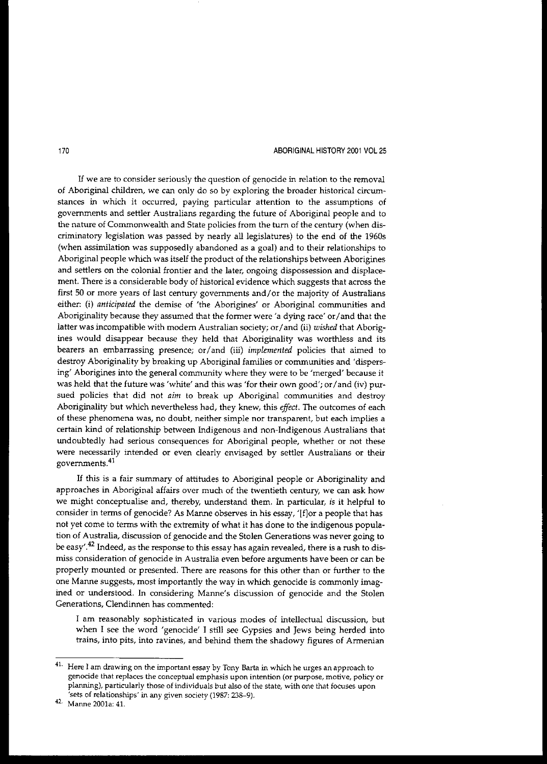#### 170 ABORIGINAL HISTORY 2001 VOL 25

**If we are to consider seriously the question of genocide in relation to the removal** of Aboriginal children, we can only do so by exploring the broader historical circumstances in which it occurred, paying particular attention to the assumptions of governments and settler Australians regarding the future of Aboriginal people and to the nature of Commonwealth and State policies from the turn of the century (when discriminatory legislation was passed by nearly all legislatures) to the end of the 1960s (when assimilation was supposedly abandoned as a goal) and to their relationships to Aboriginal people which was itself the product of the relationships between Aborigines **and settlers on the colonial frontier and the later, ongoing dispossession and displace**ment. There is a considerable body of historical evidence which suggests that across the first 50 or more years of last century governments and/or the majority of Australians either: (i) *anticipated* the demise of 'the Aborigines' or Aboriginal communities and Aboriginality because they assumed that the former were 'a dying race' or/and that the latter was incompatible with modem Australian society; or/ and (ii) *wished* that Aborigines would disappear because they held that Aboriginality was worthless and its bearers an embarrassing presence; or/and (iii) *implemented* policies that aimed to destroy Aboriginality by breaking up Aboriginal families or communities and 'dispers**ing' Aborigines into the general community where they were to be 'merged' because it** was held that the future was 'white' and this was 'for their own good'; or/and (iv) pursued policies that did not *aim* to break up Aboriginal communities and destroy Aboriginality but which nevertheless had, they knew, this *effect.* The outcomes of each **of these phenomena was, no doubt, neither simple nor transparent, hut each implies a** certain kind of relationship between indigenous and non-Indigenous Australians that **tmdoubtedly had serious consequences for Aboriginal people, whether or not these were necessarily intended or even clearly envisaged by settler Australians or their govemments.<sup>41</sup>**

If this is a fair summary of attitudes to Aboriginal people or Aboriginality and approaches in Aboriginal affairs over much of the twentieth century, we can ask how we might conceptualise and, thereby, understand them. In particular, is it helpful to consider in terms of genocide? As Manne observes in his essay, '[flor a people that has not yet come to terms with the extremity of what it has done to the indigenous popula**tion of Australia, discussion of genocide and the Stolen Generations was never going to be easy,.42 Indeed, as the response to this essay has again revealed, there is a rush to dismiss consideration of genocide in Australia even before arguments have been or can be** properly mounted or presented. There are reasons for this other than or further to the one Manne suggests, most importantly the way in which genocide is commonly imag**ined or understood. In considering Manne's discussion of genocide and the Stolen Generations, Clendinnen has commented:**

**I am reasonably sophisticated in various modes of intellectual discussion, but** when I see the word 'genocide' I still see Gypsies and Jews being herded into trains, into pits, into ravines, and behind them the shadowy figures of Armenian

**<sup>41.</sup> Here I am drawing on the important essay by Tony Barta in which he urges an approach to genocide that replaces the conceptual emphasis upon intention (or purpose, motive,** policy or **planning), particularly those of individuals but also of the state, with one that focuses upon 'sets of relationships' in any given society (1987: 238-9).**

<sup>42.</sup> **Manne 2001a: 41.**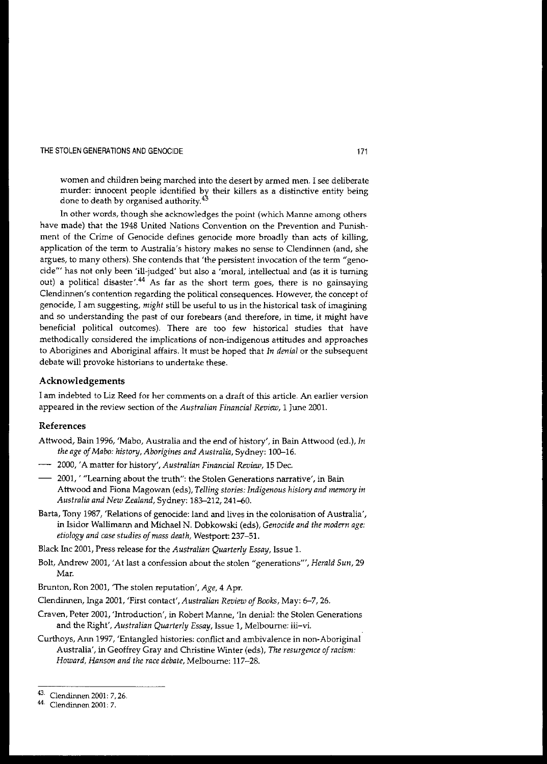women and children being marched into the desert by armed men. I see deliberate murder: innocent people identified by their killers as a distinctive entity being done to death by organised authority.<sup>43</sup>

**In other words, though she acknowledges the point (which Manne among others** have made) that the 1948 United Nations Convention on the Prevention and Punishment of the Crime of Genocide defines genocide more broadly than acts of killing, application of the term to Australia's history makes no sense to Clendinnen (and, she argues, to many others). She contends that 'the persistent invocation of the term "genocide'" has not only been 'ill-judged' but also a 'moral, intellectual and (as it is turning out) a political disaster'.<sup>44</sup> As far as the short term goes, there is no gainsaying **Clendinnen's contention regarding the political consequences. However, the concept of** genocide, I am suggesting, *might* still be useful to us in the historical task of imagining and so understanding the past of our forebears (and therefore, in time, it might have beneficial political outcomes). There are too few historical studies that have **methodically considered the implications of non-indigenous attitudes and approaches** to Aborigines and Aboriginal affairs. It must be hoped that *In denial* or the subsequent debate will provoke historians to undertake these.

## **Acknowledgements**

**I am indebted to Liz Reed for her comments on a draft of this article. An earlier version** appeared in the review section of the *Australian Financial Review,* 1 June 2001.

## **References**

- Attwood, Bain 1996, 'Mabo, Australia and the end of history', in Bain Attwood (ed.), *In the age ofMabo: history, Aborigines and Australia,* Sydney: 100-16.
- 2000, 'A matter for history', *Australian Financial Review,* 15 Dec.
- 2001, ' "Learning about the truth": the Stolen Generations narrative', in Bain Attwood and Fiona Magowan (eds), *Telling stories: Indigenous history and memory in* Australia and New Zealand, Sydney: 183-212, 241-60.
- Barta, Tony 1987, 'Relations of genocide: land and lives in the colonisation of Australia', in lsidor Wallimann and Michael N. Dobkowski (eds), *Genocide and the modern age: etiology and case studies ofmass death,* Weslport: 237-51.

Black Inc 2001, Press release for the *Australian Quarterly Essay,* Issue 1.

Bolt, Andrew 2001, 'At last a confession about the stolen "generations"', *Herald Sun, 29* Mar.

Brunton, Ron 2001, 'The stolen reputation', *Age,* 4 Apr.

Clendinnen, Inga 2001, 'First contact', *Australian Review ofBooks,* May: 6-7, 26.

- Craven, Peter 2001, 'Introduction', in Robert Manne, 'In denial: the Stolen Generations and the Right', *Australian Quarterly Essay,* Issue 1, Melbourne: iii-vi.
- Curthoys, Ann 1997, 'Entangled histories: conflict and ambivalence in non-Aboriginal Australia', in Geoffrey Gray and Christine Winter (eds), *The resurgence ofracism: Howard, Hanson and the race debate,* Melbourne: 117-28.

<sup>43.</sup> Clendinnen 2001: 7,26.

**<sup>44.</sup> Clendinnen 2001: 7.**